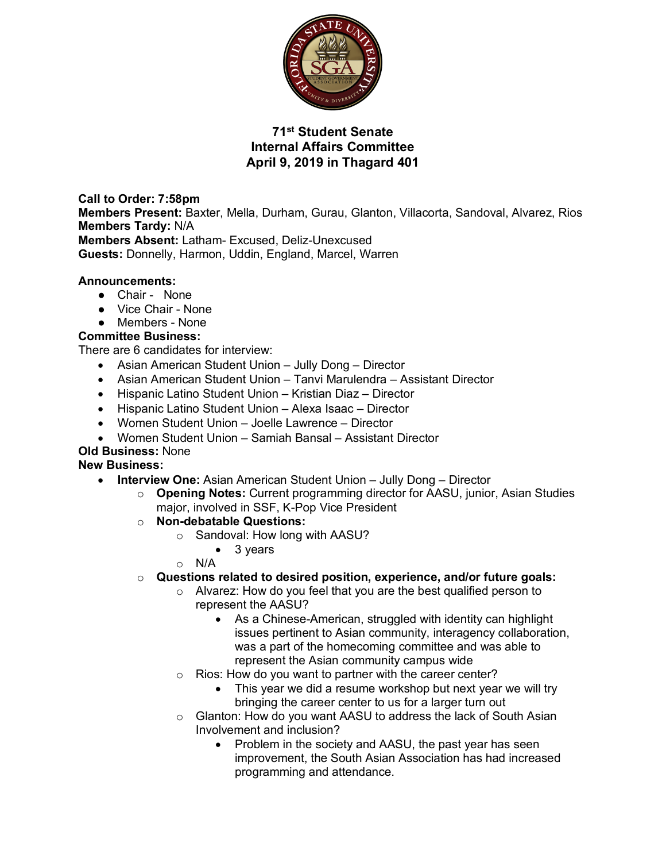

# **71st Student Senate Internal Affairs Committee April 9, 2019 in Thagard 401**

**Call to Order: 7:58pm Members Present:** Baxter, Mella, Durham, Gurau, Glanton, Villacorta, Sandoval, Alvarez, Rios **Members Tardy:** N/A **Members Absent:** Latham- Excused, Deliz-Unexcused **Guests:** Donnelly, Harmon, Uddin, England, Marcel, Warren

#### **Announcements:**

- Chair None
- Vice Chair None
- Members None

#### **Committee Business:**

There are 6 candidates for interview:

- Asian American Student Union Jully Dong Director
- Asian American Student Union Tanvi Marulendra Assistant Director
- Hispanic Latino Student Union Kristian Diaz Director
- Hispanic Latino Student Union Alexa Isaac Director
- Women Student Union Joelle Lawrence Director
- Women Student Union Samiah Bansal Assistant Director

## **Old Business:** None

#### **New Business:**

- **Interview One:** Asian American Student Union Jully Dong Director
	- o **Opening Notes:** Current programming director for AASU, junior, Asian Studies major, involved in SSF, K-Pop Vice President
	- o **Non-debatable Questions:**
		- o Sandoval: How long with AASU?
			- 3 years
			- o N/A

#### o **Questions related to desired position, experience, and/or future goals:**

- o Alvarez: How do you feel that you are the best qualified person to represent the AASU?
	- As a Chinese-American, struggled with identity can highlight issues pertinent to Asian community, interagency collaboration, was a part of the homecoming committee and was able to represent the Asian community campus wide
- Rios: How do you want to partner with the career center?
	- This year we did a resume workshop but next year we will try bringing the career center to us for a larger turn out
- o Glanton: How do you want AASU to address the lack of South Asian Involvement and inclusion?
	- Problem in the society and AASU, the past year has seen improvement, the South Asian Association has had increased programming and attendance.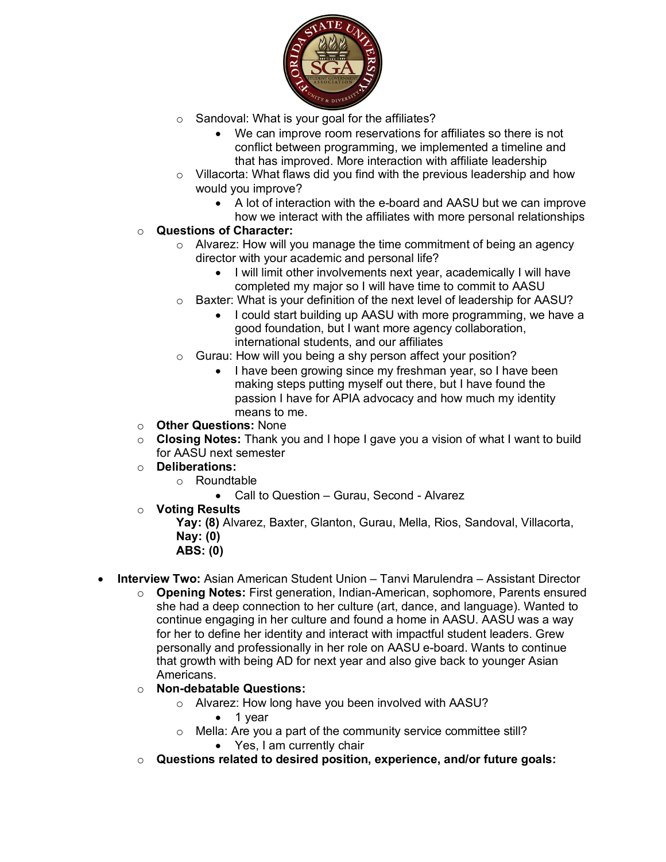

- o Sandoval: What is your goal for the affiliates?
	- We can improve room reservations for affiliates so there is not conflict between programming, we implemented a timeline and that has improved. More interaction with affiliate leadership
- o Villacorta: What flaws did you find with the previous leadership and how would you improve?
	- A lot of interaction with the e-board and AASU but we can improve how we interact with the affiliates with more personal relationships

## o **Questions of Character:**

- o Alvarez: How will you manage the time commitment of being an agency director with your academic and personal life?
	- I will limit other involvements next year, academically I will have completed my major so I will have time to commit to AASU
- o Baxter: What is your definition of the next level of leadership for AASU?
	- I could start building up AASU with more programming, we have a good foundation, but I want more agency collaboration, international students, and our affiliates
- o Gurau: How will you being a shy person affect your position?
	- I have been growing since my freshman year, so I have been making steps putting myself out there, but I have found the passion I have for APIA advocacy and how much my identity means to me.
- o **Other Questions:** None
- o **Closing Notes:** Thank you and I hope I gave you a vision of what I want to build for AASU next semester
- o **Deliberations:**
	- o Roundtable
		- Call to Question Gurau, Second Alvarez
- o **Voting Results**

**Yay: (8)** Alvarez, Baxter, Glanton, Gurau, Mella, Rios, Sandoval, Villacorta, **Nay: (0)** 

- **ABS: (0)**
- **Interview Two:** Asian American Student Union Tanvi Marulendra Assistant Director
	- o **Opening Notes:** First generation, Indian-American, sophomore, Parents ensured she had a deep connection to her culture (art, dance, and language). Wanted to continue engaging in her culture and found a home in AASU. AASU was a way for her to define her identity and interact with impactful student leaders. Grew personally and professionally in her role on AASU e-board. Wants to continue that growth with being AD for next year and also give back to younger Asian Americans.
	- o **Non-debatable Questions:**
		- o Alvarez: How long have you been involved with AASU?
			- 1 year
		- o Mella: Are you a part of the community service committee still?
			- Yes, I am currently chair
	- o **Questions related to desired position, experience, and/or future goals:**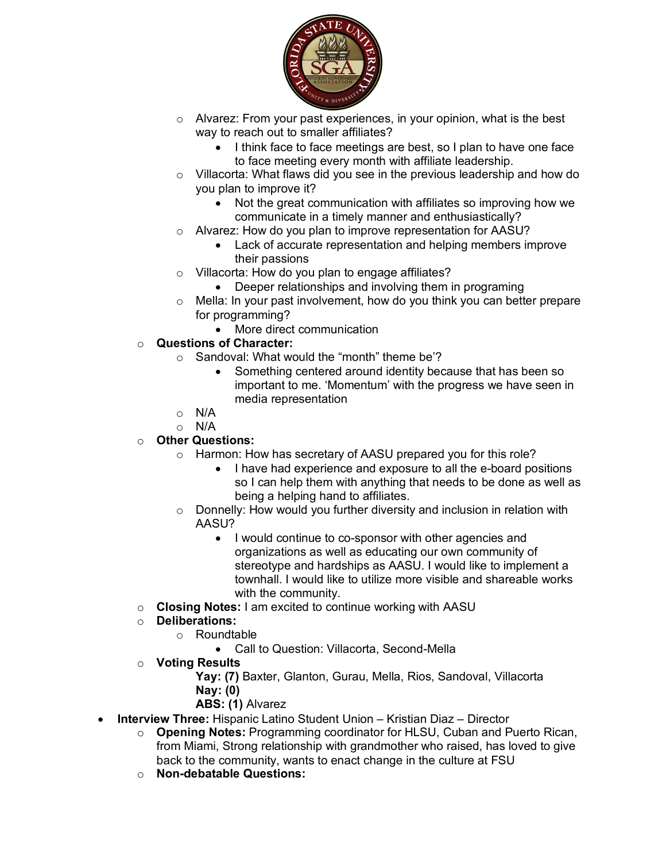

- o Alvarez: From your past experiences, in your opinion, what is the best way to reach out to smaller affiliates?
	- I think face to face meetings are best, so I plan to have one face to face meeting every month with affiliate leadership.
- o Villacorta: What flaws did you see in the previous leadership and how do you plan to improve it?
	- Not the great communication with affiliates so improving how we communicate in a timely manner and enthusiastically?
- o Alvarez: How do you plan to improve representation for AASU?
	- Lack of accurate representation and helping members improve their passions
- o Villacorta: How do you plan to engage affiliates?
	- Deeper relationships and involving them in programing
- $\circ$  Mella: In your past involvement, how do you think you can better prepare for programming?
	- More direct communication
- o **Questions of Character:**
	- o Sandoval: What would the "month" theme be'?
		- Something centered around identity because that has been so important to me. 'Momentum' with the progress we have seen in media representation
	- o N/A
	- $\circ$  N/A

## o **Other Questions:**

- o Harmon: How has secretary of AASU prepared you for this role?
	- I have had experience and exposure to all the e-board positions so I can help them with anything that needs to be done as well as being a helping hand to affiliates.
- o Donnelly: How would you further diversity and inclusion in relation with AASU?
	- I would continue to co-sponsor with other agencies and organizations as well as educating our own community of stereotype and hardships as AASU. I would like to implement a townhall. I would like to utilize more visible and shareable works with the community.
- o **Closing Notes:** I am excited to continue working with AASU

## o **Deliberations:**

- o Roundtable
	- Call to Question: Villacorta, Second-Mella
- o **Voting Results**
	- **Yay: (7)** Baxter, Glanton, Gurau, Mella, Rios, Sandoval, Villacorta **Nay: (0)**
	- **ABS: (1)** Alvarez
- **Interview Three:** Hispanic Latino Student Union Kristian Diaz Director
	- o **Opening Notes:** Programming coordinator for HLSU, Cuban and Puerto Rican, from Miami, Strong relationship with grandmother who raised, has loved to give back to the community, wants to enact change in the culture at FSU
	- o **Non-debatable Questions:**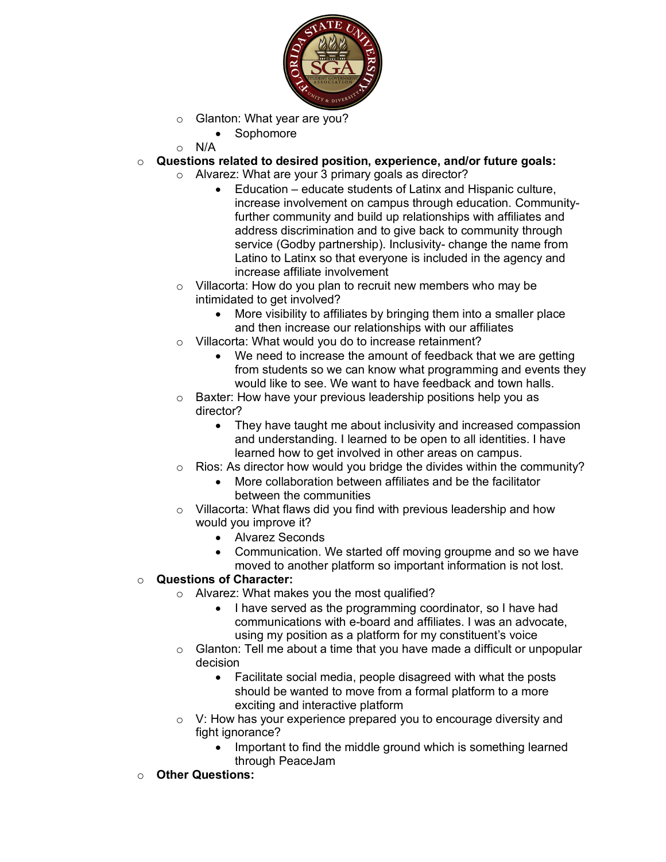

- o Glanton: What year are you?
	- Sophomore

 $\circ$  N/A

- o **Questions related to desired position, experience, and/or future goals:**
	- o Alvarez: What are your 3 primary goals as director?
		- Education educate students of Latinx and Hispanic culture, increase involvement on campus through education. Communityfurther community and build up relationships with affiliates and address discrimination and to give back to community through service (Godby partnership). Inclusivity- change the name from Latino to Latinx so that everyone is included in the agency and increase affiliate involvement
	- o Villacorta: How do you plan to recruit new members who may be intimidated to get involved?
		- More visibility to affiliates by bringing them into a smaller place and then increase our relationships with our affiliates
	- Villacorta: What would you do to increase retainment?
		- We need to increase the amount of feedback that we are getting from students so we can know what programming and events they would like to see. We want to have feedback and town halls.
	- o Baxter: How have your previous leadership positions help you as director?
		- They have taught me about inclusivity and increased compassion and understanding. I learned to be open to all identities. I have learned how to get involved in other areas on campus.
	- $\circ$  Rios: As director how would you bridge the divides within the community?
		- More collaboration between affiliates and be the facilitator between the communities
	- o Villacorta: What flaws did you find with previous leadership and how would you improve it?
		- Alvarez Seconds
		- Communication. We started off moving groupme and so we have moved to another platform so important information is not lost.

## o **Questions of Character:**

- o Alvarez: What makes you the most qualified?
	- I have served as the programming coordinator, so I have had communications with e-board and affiliates. I was an advocate, using my position as a platform for my constituent's voice
- $\circ$  Glanton: Tell me about a time that you have made a difficult or unpopular decision
	- Facilitate social media, people disagreed with what the posts should be wanted to move from a formal platform to a more exciting and interactive platform
- o V: How has your experience prepared you to encourage diversity and fight ignorance?
	- Important to find the middle ground which is something learned through PeaceJam
- o **Other Questions:**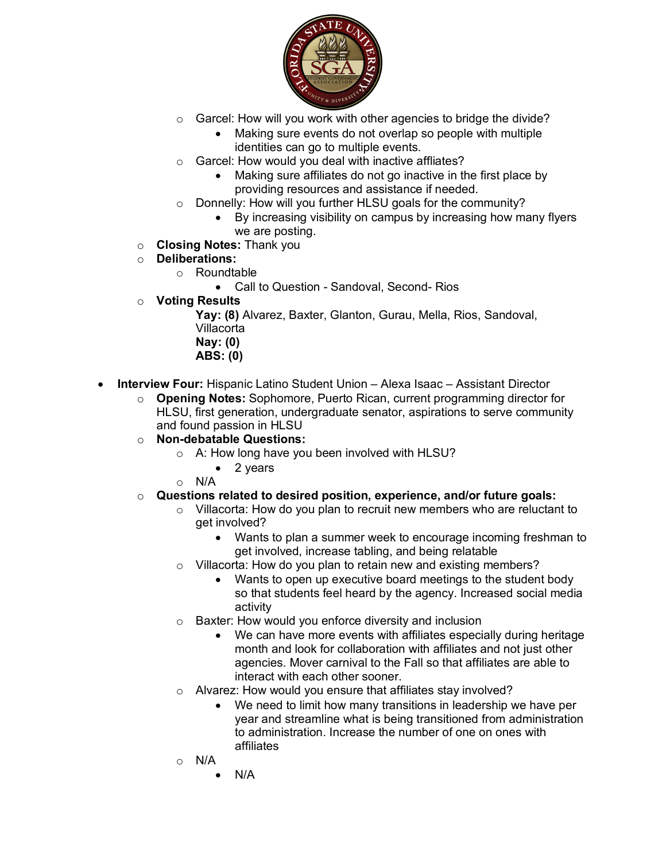

- o Garcel: How will you work with other agencies to bridge the divide?
	- Making sure events do not overlap so people with multiple identities can go to multiple events.
- o Garcel: How would you deal with inactive affliates?
	- Making sure affiliates do not go inactive in the first place by providing resources and assistance if needed.
- o Donnelly: How will you further HLSU goals for the community?
	- By increasing visibility on campus by increasing how many flyers we are posting.
- o **Closing Notes:** Thank you
- o **Deliberations:**
	- o Roundtable
		- Call to Question Sandoval, Second- Rios
- o **Voting Results**

**Yay: (8)** Alvarez, Baxter, Glanton, Gurau, Mella, Rios, Sandoval, Villacorta

- **Nay: (0)**
- **ABS: (0)**
- **Interview Four:** Hispanic Latino Student Union Alexa Isaac Assistant Director
	- o **Opening Notes:** Sophomore, Puerto Rican, current programming director for HLSU, first generation, undergraduate senator, aspirations to serve community and found passion in HLSU
	- o **Non-debatable Questions:**
		- o A: How long have you been involved with HLSU?
			- 2 years
		- o N/A
	- o **Questions related to desired position, experience, and/or future goals:**
		- o Villacorta: How do you plan to recruit new members who are reluctant to get involved?
			- Wants to plan a summer week to encourage incoming freshman to get involved, increase tabling, and being relatable
		- o Villacorta: How do you plan to retain new and existing members?
			- Wants to open up executive board meetings to the student body so that students feel heard by the agency. Increased social media activity
		- o Baxter: How would you enforce diversity and inclusion
			- We can have more events with affiliates especially during heritage month and look for collaboration with affiliates and not just other agencies. Mover carnival to the Fall so that affiliates are able to interact with each other sooner.
		- o Alvarez: How would you ensure that affiliates stay involved?
			- We need to limit how many transitions in leadership we have per year and streamline what is being transitioned from administration to administration. Increase the number of one on ones with affiliates
		- o N/A
			- $N/A$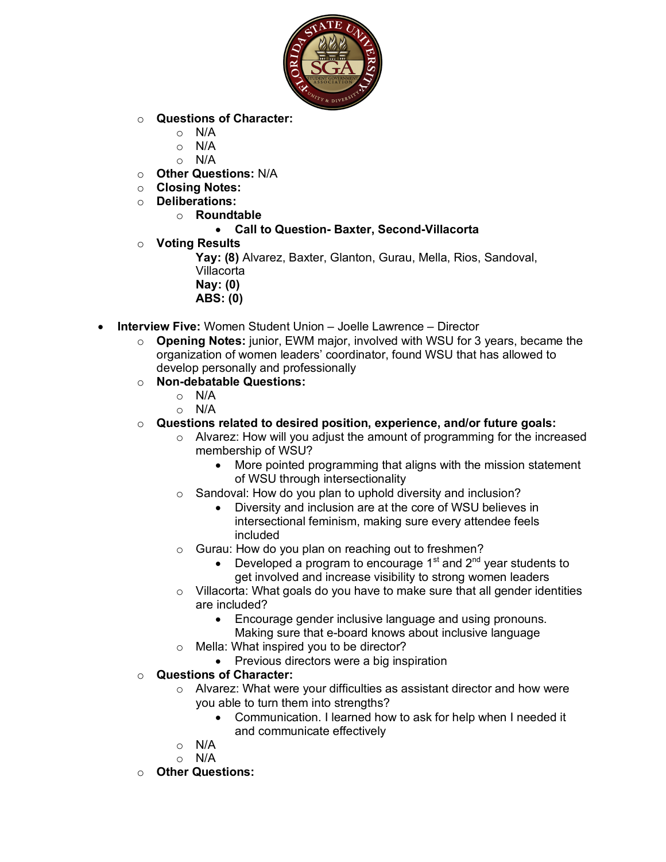

- o **Questions of Character:**
	- $\circ$  N/A
	- $\circ$  N/A
	- $\circ$  N/A
- o **Other Questions:** N/A
- o **Closing Notes:**
- o **Deliberations:**
	- o **Roundtable**

#### • **Call to Question- Baxter, Second-Villacorta**

o **Voting Results**

**Yay: (8)** Alvarez, Baxter, Glanton, Gurau, Mella, Rios, Sandoval, Villacorta **Nay: (0) ABS: (0)**

- **Interview Five:** Women Student Union Joelle Lawrence Director
	- o **Opening Notes:** junior, EWM major, involved with WSU for 3 years, became the organization of women leaders' coordinator, found WSU that has allowed to develop personally and professionally
	- o **Non-debatable Questions:**
		- o N/A
		- o N/A
	- o **Questions related to desired position, experience, and/or future goals:**
		- o Alvarez: How will you adjust the amount of programming for the increased membership of WSU?
			- More pointed programming that aligns with the mission statement of WSU through intersectionality
		- Sandoval: How do you plan to uphold diversity and inclusion?
			- Diversity and inclusion are at the core of WSU believes in intersectional feminism, making sure every attendee feels included
		- o Gurau: How do you plan on reaching out to freshmen?
			- Developed a program to encourage  $1<sup>st</sup>$  and  $2<sup>nd</sup>$  year students to get involved and increase visibility to strong women leaders
		- o Villacorta: What goals do you have to make sure that all gender identities are included?
			- Encourage gender inclusive language and using pronouns. Making sure that e-board knows about inclusive language
		- o Mella: What inspired you to be director?
			- Previous directors were a big inspiration
	- o **Questions of Character:**
		- o Alvarez: What were your difficulties as assistant director and how were you able to turn them into strengths?
			- Communication. I learned how to ask for help when I needed it and communicate effectively
		- $\circ$  N/A
		- $\circ$  N/A
	- o **Other Questions:**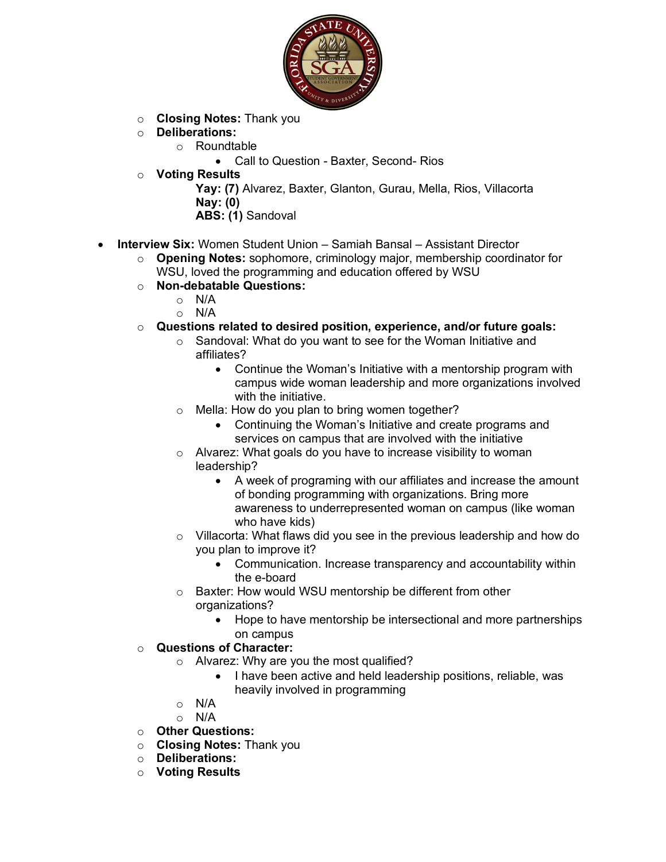

- o **Closing Notes:** Thank you
- o **Deliberations:**
	- o Roundtable
		- Call to Question Baxter, Second- Rios
- o **Voting Results**

**Yay: (7)** Alvarez, Baxter, Glanton, Gurau, Mella, Rios, Villacorta **Nay: (0) ABS: (1)** Sandoval

- **Interview Six:** Women Student Union Samiah Bansal Assistant Director
	- o **Opening Notes:** sophomore, criminology major, membership coordinator for WSU, loved the programming and education offered by WSU
	- o **Non-debatable Questions:**
		- $\circ$  N/A
		- o N/A
	- o **Questions related to desired position, experience, and/or future goals:**
		- o Sandoval: What do you want to see for the Woman Initiative and affiliates?
			- Continue the Woman's Initiative with a mentorship program with campus wide woman leadership and more organizations involved with the initiative.
		- o Mella: How do you plan to bring women together?
			- Continuing the Woman's Initiative and create programs and services on campus that are involved with the initiative
		- o Alvarez: What goals do you have to increase visibility to woman leadership?
			- A week of programing with our affiliates and increase the amount of bonding programming with organizations. Bring more awareness to underrepresented woman on campus (like woman who have kids)
		- o Villacorta: What flaws did you see in the previous leadership and how do you plan to improve it?
			- Communication. Increase transparency and accountability within the e-board
		- o Baxter: How would WSU mentorship be different from other organizations?
			- Hope to have mentorship be intersectional and more partnerships on campus
	- o **Questions of Character:**
		- o Alvarez: Why are you the most qualified?
			- I have been active and held leadership positions, reliable, was heavily involved in programming
		- o N/A
		- o N/A
	- o **Other Questions:**
	- o **Closing Notes:** Thank you
	- o **Deliberations:**
	- o **Voting Results**